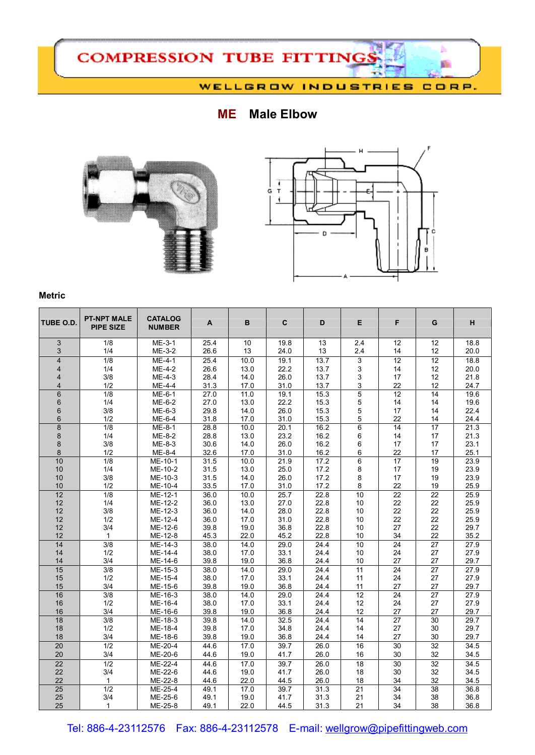

## **ME Male Elbow**





## **Metric**

| TUBE O.D.               | <b>PT-NPT MALE</b><br><b>PIPE SIZE</b> | <b>CATALOG</b><br><b>NUMBER</b> | A            | B            | C            | D            | E.              | F               | ${\bf G}$       | н            |
|-------------------------|----------------------------------------|---------------------------------|--------------|--------------|--------------|--------------|-----------------|-----------------|-----------------|--------------|
| 3<br>3                  | 1/8<br>1/4                             | $ME-3-1$<br>ME-3-2              | 25.4<br>26.6 | 10<br>13     | 19.8<br>24.0 | 13<br>13     | 2.4<br>2.4      | 12<br>14        | 12<br>12        | 18.8<br>20.0 |
| $\overline{4}$          | $\overline{1/8}$                       | ME-4-1                          | 25.4         | 10.0         | 19.1         | 13.7         | 3               | 12              | 12              | 18.8         |
| $\overline{\mathbf{4}}$ | 1/4                                    | $ME-4-2$                        | 26.6         | 13.0         | 22.2         | 13.7         | 3               | 14              | 12              | 20.0         |
| 4                       | 3/8                                    | ME-4-3                          | 28.4         | 14.0         | 26.0         | 13.7         | 3               | 17              | 12              | 21.8         |
| 4                       | 1/2                                    | ME-4-4                          | 31.3         | 17.0         | 31.0         | 13.7         | 3               | 22              | 12              | 24.7         |
| 6                       | 1/8                                    | ME-6-1                          | 27.0         | 11.0         | 19.1         | 15.3         | $\overline{5}$  | 12              | 14              | 19.6         |
| 6                       | 1/4                                    | ME-6-2                          | 27.0         | 13.0         | 22.2         | 15.3         | 5               | 14              | 14              | 19.6         |
| 6                       | 3/8                                    | ME-6-3                          | 29.8         | 14.0         | 26.0         | 15.3         | 5               | 17              | 14              | 22.4         |
| 6                       | 1/2                                    | ME-6-4                          | 31.8         | 17.0         | 31.0         | 15.3         | 5               | 22              | 14              | 24.4         |
| $\overline{8}$          | $\overline{1/8}$                       | ME-8-1                          | 28.8         | 10.0         | 20.1         | 16.2         | $\overline{6}$  | 14              | $\overline{17}$ | 21.3         |
| 8                       | 1/4                                    | ME-8-2                          | 28.8         | 13.0         | 23.2         | 16.2         | 6               | 14              | 17              | 21.3         |
| 8                       | 3/8                                    | ME-8-3                          | 30.6         | 14.0         | 26.0         | 16.2         | 6               | 17              | 17              | 23.1         |
| 8                       | 1/2                                    | ME-8-4                          | 32.6         | 17.0         | 31.0         | 16.2         | 6               | 22              | 17              | 25.1         |
| 10                      | 1/8                                    | ME-10-1                         | 31.5         | 10.0         | 21.9         | 17.2         | 6               | $\overline{17}$ | 19              | 23.9         |
| 10                      | 1/4                                    | ME-10-2                         | 31.5         | 13.0         | 25.0         | 17.2         | 8               | 17              | 19              | 23.9         |
| 10                      | 3/8                                    | ME-10-3                         | 31.5         | 14.0         | 26.0         | 17.2         | 8               | 17              | 19              | 23.9         |
| 10                      | 1/2                                    | ME-10-4                         | 33.5         | 17.0         | 31.0         | 17.2         | 8               | 22              | 19              | 25.9         |
| 12                      | 1/8                                    | $ME-12-1$                       | 36.0         | 10.0         | 25.7         | 22.8         | 10              | $\overline{22}$ | $\overline{22}$ | 25.9         |
| 12<br>12                | 1/4<br>3/8                             | ME-12-2<br>ME-12-3              | 36.0<br>36.0 | 13.0<br>14.0 | 27.0<br>28.0 | 22.8<br>22.8 | 10<br>10        | 22<br>22        | 22<br>22        | 25.9<br>25.9 |
| 12                      | 1/2                                    | ME-12-4                         | 36.0         | 17.0         | 31.0         | 22.8         | 10              | 22              | 22              | 25.9         |
| 12                      | 3/4                                    | ME-12-6                         | 39.8         | 19.0         | 36.8         | 22.8         | 10              | 27              | 22              | 29.7         |
| 12                      | $\mathbf{1}$                           | ME-12-8                         | 45.3         | 22.0         | 45.2         | 22.8         | 10              | 34              | 22              | 35.2         |
| 14                      | 3/8                                    | ME-14-3                         | 38.0         | 14.0         | 29.0         | 24.4         | 10              | 24              | 27              | 27.9         |
| 14                      | 1/2                                    | ME-14-4                         | 38.0         | 17.0         | 33.1         | 24.4         | 10              | 24              | 27              | 27.9         |
| 14                      | 3/4                                    | ME-14-6                         | 39.8         | 19.0         | 36.8         | 24.4         | 10              | 27              | 27              | 29.7         |
| 15                      | 3/8                                    | ME-15-3                         | 38.0         | 14.0         | 29.0         | 24.4         | 11              | 24              | 27              | 27.9         |
| 15                      | 1/2                                    | ME-15-4                         | 38.0         | 17.0         | 33.1         | 24.4         | 11              | 24              | 27              | 27.9         |
| 15                      | 3/4                                    | ME-15-6                         | 39.8         | 19.0         | 36.8         | 24.4         | 11              | 27              | 27              | 29.7         |
| 16                      | 3/8                                    | ME-16-3                         | 38.0         | 14.0         | 29.0         | 24.4         | 12              | 24              | 27              | 27.9         |
| 16                      | 1/2                                    | ME-16-4                         | 38.0         | 17.0         | 33.1         | 24.4         | 12              | 24              | 27              | 27.9         |
| 16                      | 3/4                                    | ME-16-6                         | 39.8         | 19.0         | 36.8         | 24.4         | 12              | 27              | 27              | 29.7         |
| 18                      | 3/8                                    | ME-18-3                         | 39.8         | 14.0         | 32.5         | 24.4         | $\overline{14}$ | $\overline{27}$ | $\overline{30}$ | 29.7         |
| 18                      | 1/2                                    | ME-18-4                         | 39.8         | 17.0         | 34.8         | 24.4         | 14              | 27              | 30              | 29.7         |
| 18                      | 3/4                                    | ME-18-6                         | 39.8         | 19.0         | 36.8         | 24.4         | 14              | 27              | 30              | 29.7         |
| 20                      | 1/2                                    | ME-20-4                         | 44.6         | 17.0         | 39.7         | 26.0         | 16              | 30              | 32              | 34.5         |
| 20                      | 3/4                                    | ME-20-6                         | 44.6         | 19.0         | 41.7         | 26.0         | 16              | 30              | 32              | 34.5         |
| 22                      | 1/2                                    | ME-22-4                         | 44.6         | 17.0         | 39.7         | 26.0         | 18              | 30              | 32              | 34.5         |
| 22                      | 3/4                                    | ME-22-6                         | 44.6         | 19.0         | 41.7         | 26.0         | 18              | 30              | 32              | 34.5         |
| 22                      | $\mathbf{1}$                           | ME-22-8                         | 44.6         | 22.0         | 44.5         | 26.0         | 18              | 34              | 32              | 34.5         |
| 25                      | 1/2                                    | ME-25-4                         | 49.1         | 17.0         | 39.7         | 31.3         | 21              | 34              | $\overline{38}$ | 36.8         |
| 25                      | 3/4                                    | ME-25-6                         | 49.1         | 19.0         | 41.7         | 31.3         | 21              | 34              | 38              | 36.8         |
| 25                      | 1                                      | ME-25-8                         | 49.1         | 22.0         | 44.5         | 31.3         | 21              | 34              | 38              | 36.8         |